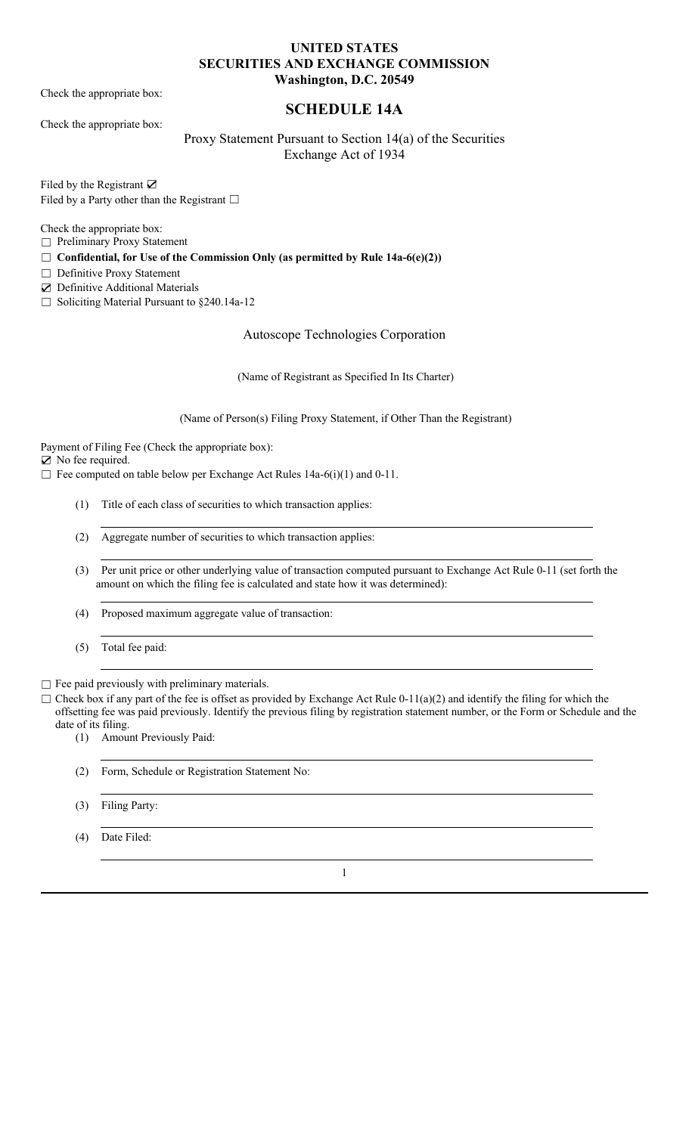#### **UNITED STATES SECURITIES AND EXCHANGE COMMISSION Washington, D.C. 20549**

Check the appropriate box:

Check the appropriate box:

# **SCHEDULE 14A**

Proxy Statement Pursuant to Section 14(a) of the Securities Exchange Act of 1934

Filed by the Registrant ☑ Filed by a Party other than the Registrant  $□$ 

Check the appropriate box:

☐ Preliminary Proxy Statement

☐ **Confidential, for Use of the Commission Only (as permitted by Rule 14a-6(e)(2))**

□ Definitive Proxy Statement

☑ Definitive Additional Materials

☐ Soliciting Material Pursuant to §240.14a-12

Autoscope Technologies Corporation

(Name of Registrant as Specified In Its Charter)

(Name of Person(s) Filing Proxy Statement, if Other Than the Registrant)

Payment of Filing Fee (Check the appropriate box):

☑ No fee required.

 $\Box$  Fee computed on table below per Exchange Act Rules 14a-6(i)(1) and 0-11.

- (1) Title of each class of securities to which transaction applies:
- (2) Aggregate number of securities to which transaction applies:
- (3) Per unit price or other underlying value of transaction computed pursuant to Exchange Act Rule 0-11 (set forth the amount on which the filing fee is calculated and state how it was determined):
- (4) Proposed maximum aggregate value of transaction:
- (5) Total fee paid:

 $\Box$  Fee paid previously with preliminary materials.

 $\Box$  Check box if any part of the fee is offset as provided by Exchange Act Rule 0-11(a)(2) and identify the filing for which the offsetting fee was paid previously. Identify the previous filing by registration statement number, or the Form or Schedule and the date of its filing.

(1) Amount Previously Paid:

- (2) Form, Schedule or Registration Statement No:
- (3) Filing Party:
- (4) Date Filed:

1